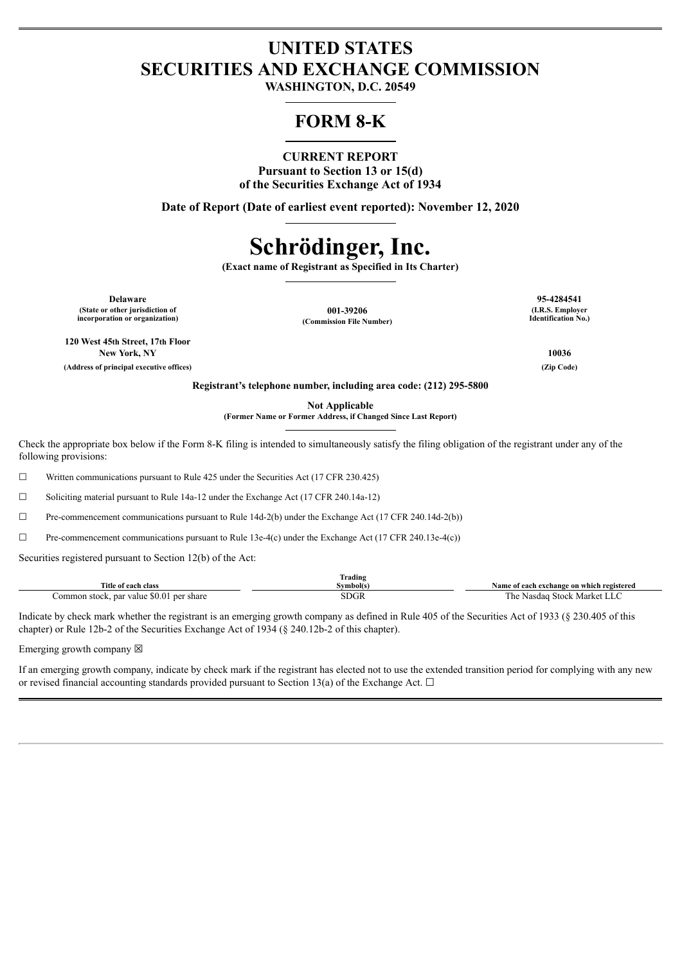# **UNITED STATES SECURITIES AND EXCHANGE COMMISSION**

**WASHINGTON, D.C. 20549**

# **FORM 8-K**

# **CURRENT REPORT**

**Pursuant to Section 13 or 15(d) of the Securities Exchange Act of 1934**

**Date of Report (Date of earliest event reported): November 12, 2020**

# **Schrödinger, Inc.**

**(Exact name of Registrant as Specified in Its Charter)**

**Delaware 95-4284541 (State or other jurisdiction of incorporation or organization)**

**001-39206 (Commission File Number)**

**(I.R.S. Employer Identification No.)**

**120 West 45th Street, 17th Floor New York, NY 10036**

**(Address of principal executive offices) (Zip Code)**

**Registrant's telephone number, including area code: (212) 295-5800**

**Not Applicable**

**(Former Name or Former Address, if Changed Since Last Report)**

Check the appropriate box below if the Form 8-K filing is intended to simultaneously satisfy the filing obligation of the registrant under any of the following provisions:

 $\Box$  Written communications pursuant to Rule 425 under the Securities Act (17 CFR 230.425)

☐ Soliciting material pursuant to Rule 14a-12 under the Exchange Act (17 CFR 240.14a-12)

 $\Box$  Pre-commencement communications pursuant to Rule 14d-2(b) under the Exchange Act (17 CFR 240.14d-2(b))

☐ Pre-commencement communications pursuant to Rule 13e-4(c) under the Exchange Act (17 CFR 240.13e-4(c))

Securities registered pursuant to Section 12(b) of the Act:

|                                          | Trading     |                                           |
|------------------------------------------|-------------|-------------------------------------------|
| Title of each class                      | Svmbol(s`   | Name of each exchange on which registered |
| Common stock, par value \$0.01 per share | <b>SDGR</b> | Nasdaq Stock Market LLC<br>he             |

Indicate by check mark whether the registrant is an emerging growth company as defined in Rule 405 of the Securities Act of 1933 (§ 230.405 of this chapter) or Rule 12b-2 of the Securities Exchange Act of 1934 (§ 240.12b-2 of this chapter).

Emerging growth company  $\boxtimes$ 

If an emerging growth company, indicate by check mark if the registrant has elected not to use the extended transition period for complying with any new or revised financial accounting standards provided pursuant to Section 13(a) of the Exchange Act.  $\Box$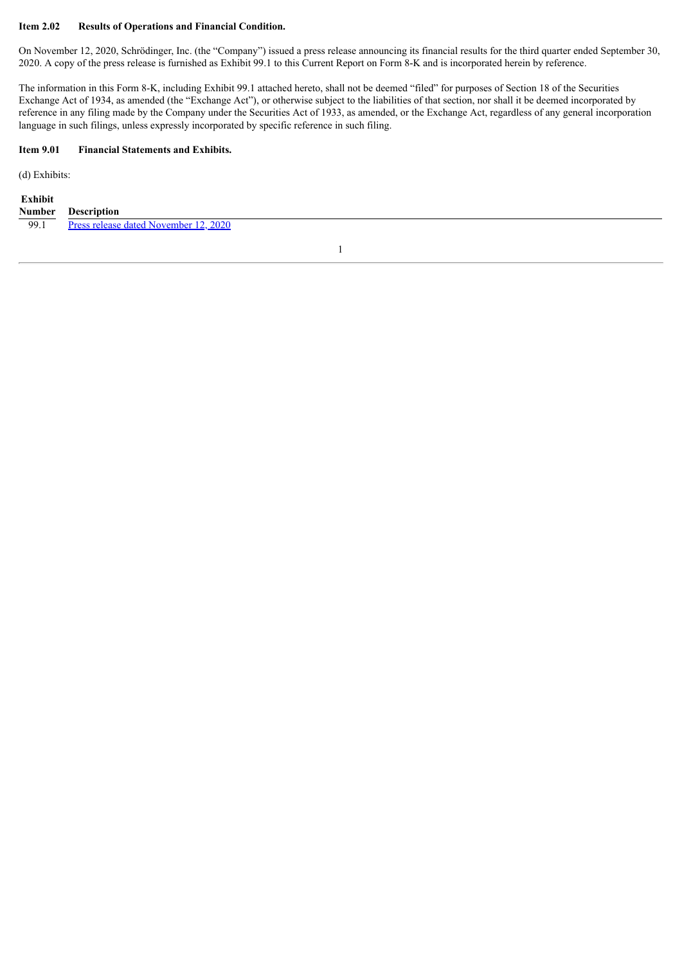#### **Item 2.02 Results of Operations and Financial Condition.**

On November 12, 2020, Schrödinger, Inc. (the "Company") issued a press release announcing its financial results for the third quarter ended September 30, 2020. A copy of the press release is furnished as Exhibit 99.1 to this Current Report on Form 8-K and is incorporated herein by reference.

The information in this Form 8-K, including Exhibit 99.1 attached hereto, shall not be deemed "filed" for purposes of Section 18 of the Securities Exchange Act of 1934, as amended (the "Exchange Act"), or otherwise subject to the liabilities of that section, nor shall it be deemed incorporated by reference in any filing made by the Company under the Securities Act of 1933, as amended, or the Exchange Act, regardless of any general incorporation language in such filings, unless expressly incorporated by specific reference in such filing.

#### **Item 9.01 Financial Statements and Exhibits.**

(d) Exhibits:

#### **Exhibit Number Description**

99.1 Press release dated [November](#page-3-0) 12, 2020

1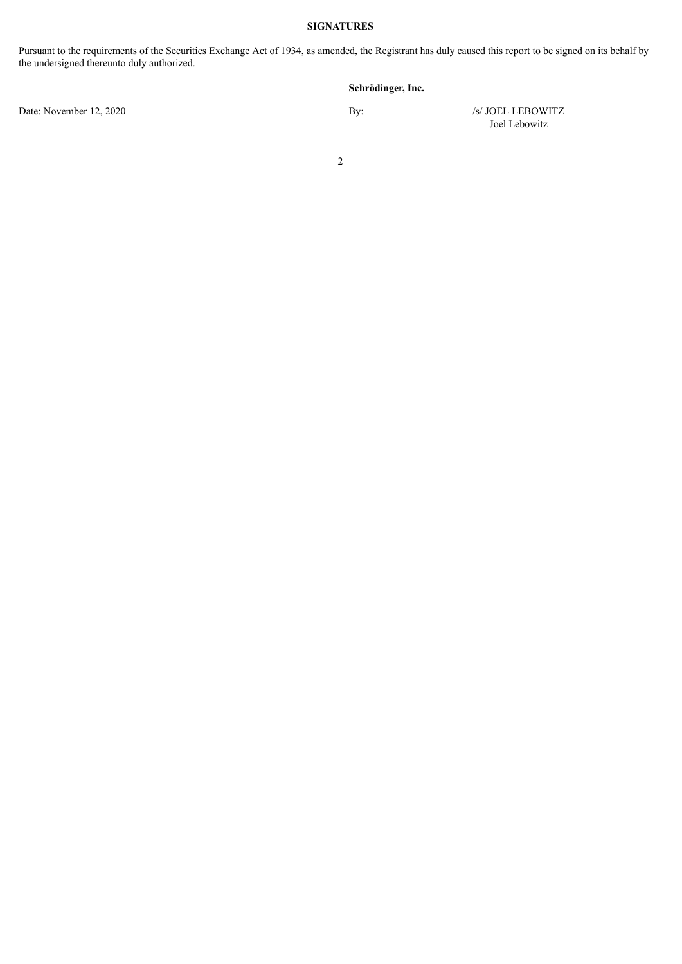## **SIGNATURES**

Pursuant to the requirements of the Securities Exchange Act of 1934, as amended, the Registrant has duly caused this report to be signed on its behalf by the undersigned thereunto duly authorized.

# **Schrödinger, Inc.**

Date: November 12, 2020 By: /s/ JOEL LEBOWITZ

Joel Lebowitz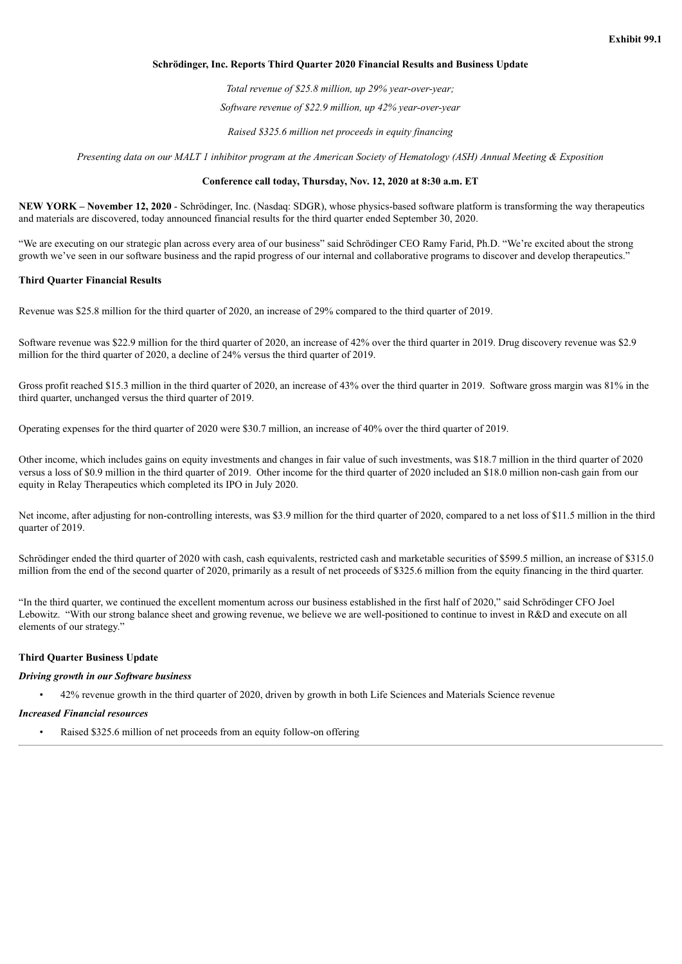#### <span id="page-3-0"></span>**Schrödinger, Inc. Reports Third Quarter 2020 Financial Results and Business Update**

*Total revenue of \$25.8 million, up 29% year-over-year;*

*Software revenue of \$22.9 million, up 42% year-over-year*

*Raised \$325.6 million net proceeds in equity financing*

Presenting data on our MALT 1 inhibitor program at the American Society of Hematology (ASH) Annual Meeting & Exposition

#### **Conference call today, Thursday, Nov. 12, 2020 at 8:30 a.m. ET**

**NEW YORK – November 12, 2020** - Schrödinger, Inc. (Nasdaq: SDGR), whose physics-based software platform is transforming the way therapeutics and materials are discovered, today announced financial results for the third quarter ended September 30, 2020.

"We are executing on our strategic plan across every area of our business" said Schrödinger CEO Ramy Farid, Ph.D. "We're excited about the strong growth we've seen in our software business and the rapid progress of our internal and collaborative programs to discover and develop therapeutics."

#### **Third Quarter Financial Results**

Revenue was \$25.8 million for the third quarter of 2020, an increase of 29% compared to the third quarter of 2019.

Software revenue was \$22.9 million for the third quarter of 2020, an increase of 42% over the third quarter in 2019. Drug discovery revenue was \$2.9 million for the third quarter of 2020, a decline of 24% versus the third quarter of 2019.

Gross profit reached \$15.3 million in the third quarter of 2020, an increase of 43% over the third quarter in 2019. Software gross margin was 81% in the third quarter, unchanged versus the third quarter of 2019.

Operating expenses for the third quarter of 2020 were \$30.7 million, an increase of 40% over the third quarter of 2019.

Other income, which includes gains on equity investments and changes in fair value of such investments, was \$18.7 million in the third quarter of 2020 versus a loss of \$0.9 million in the third quarter of 2019. Other income for the third quarter of 2020 included an \$18.0 million non-cash gain from our equity in Relay Therapeutics which completed its IPO in July 2020.

Net income, after adjusting for non-controlling interests, was \$3.9 million for the third quarter of 2020, compared to a net loss of \$11.5 million in the third quarter of 2019.

Schrödinger ended the third quarter of 2020 with cash, cash equivalents, restricted cash and marketable securities of \$599.5 million, an increase of \$315.0 million from the end of the second quarter of 2020, primarily as a result of net proceeds of \$325.6 million from the equity financing in the third quarter.

"In the third quarter, we continued the excellent momentum across our business established in the first half of 2020," said Schrödinger CFO Joel Lebowitz. "With our strong balance sheet and growing revenue, we believe we are well-positioned to continue to invest in R&D and execute on all elements of our strategy."

#### **Third Quarter Business Update**

#### *Driving growth in our Software business*

• 42% revenue growth in the third quarter of 2020, driven by growth in both Life Sciences and Materials Science revenue

#### *Increased Financial resources*

Raised \$325.6 million of net proceeds from an equity follow-on offering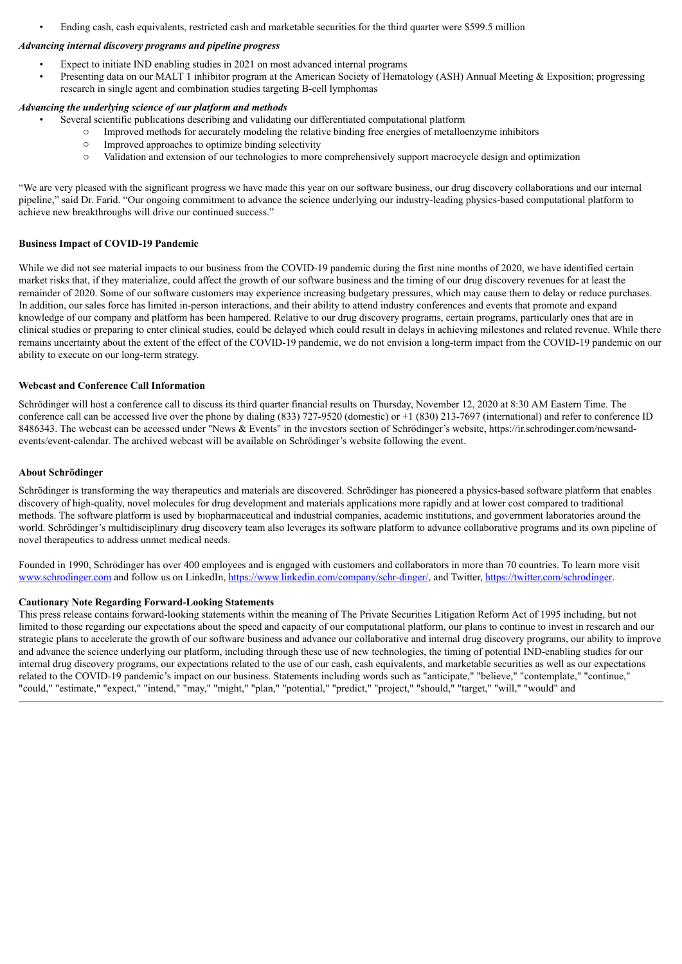• Ending cash, cash equivalents, restricted cash and marketable securities for the third quarter were \$599.5 million

## *Advancing internal discovery programs and pipeline progress*

- Expect to initiate IND enabling studies in 2021 on most advanced internal programs
- Presenting data on our MALT 1 inhibitor program at the American Society of Hematology (ASH) Annual Meeting & Exposition; progressing research in single agent and combination studies targeting B-cell lymphomas

## *Advancing the underlying science of our platform and methods*

- Several scientific publications describing and validating our differentiated computational platform
	- o Improved methods for accurately modeling the relative binding free energies of metalloenzyme inhibitors
	- o Improved approaches to optimize binding selectivity
	- o Validation and extension of our technologies to more comprehensively support macrocycle design and optimization

"We are very pleased with the significant progress we have made this year on our software business, our drug discovery collaborations and our internal pipeline," said Dr. Farid. "Our ongoing commitment to advance the science underlying our industry-leading physics-based computational platform to achieve new breakthroughs will drive our continued success."

#### **Business Impact of COVID-19 Pandemic**

While we did not see material impacts to our business from the COVID-19 pandemic during the first nine months of 2020, we have identified certain market risks that, if they materialize, could affect the growth of our software business and the timing of our drug discovery revenues for at least the remainder of 2020. Some of our software customers may experience increasing budgetary pressures, which may cause them to delay or reduce purchases. In addition, our sales force has limited in-person interactions, and their ability to attend industry conferences and events that promote and expand knowledge of our company and platform has been hampered. Relative to our drug discovery programs, certain programs, particularly ones that are in clinical studies or preparing to enter clinical studies, could be delayed which could result in delays in achieving milestones and related revenue. While there remains uncertainty about the extent of the effect of the COVID-19 pandemic, we do not envision a long-term impact from the COVID-19 pandemic on our ability to execute on our long-term strategy.

#### **Webcast and Conference Call Information**

Schrödinger will host a conference call to discuss its third quarter financial results on Thursday, November 12, 2020 at 8:30 AM Eastern Time. The conference call can be accessed live over the phone by dialing (833) 727-9520 (domestic) or +1 (830) 213-7697 (international) and refer to conference ID 8486343. The webcast can be accessed under "News & Events" in the investors section of Schrödinger's website, https://ir.schrodinger.com/newsandevents/event-calendar. The archived webcast will be available on Schrödinger's website following the event.

#### **About Schrödinger**

Schrödinger is transforming the way therapeutics and materials are discovered. Schrödinger has pioneered a physics-based software platform that enables discovery of high-quality, novel molecules for drug development and materials applications more rapidly and at lower cost compared to traditional methods. The software platform is used by biopharmaceutical and industrial companies, academic institutions, and government laboratories around the world. Schrödinger's multidisciplinary drug discovery team also leverages its software platform to advance collaborative programs and its own pipeline of novel therapeutics to address unmet medical needs.

Founded in 1990, Schrödinger has over 400 employees and is engaged with customers and collaborators in more than 70 countries. To learn more visit www.schrodinger.com and follow us on LinkedIn, https://www.linkedin.com/company/schr-dinger/, and Twitter, https://twitter.com/schrodinger.

#### **Cautionary Note Regarding Forward-Looking Statements**

This press release contains forward-looking statements within the meaning of The Private Securities Litigation Reform Act of 1995 including, but not limited to those regarding our expectations about the speed and capacity of our computational platform, our plans to continue to invest in research and our strategic plans to accelerate the growth of our software business and advance our collaborative and internal drug discovery programs, our ability to improve and advance the science underlying our platform, including through these use of new technologies, the timing of potential IND-enabling studies for our internal drug discovery programs, our expectations related to the use of our cash, cash equivalents, and marketable securities as well as our expectations related to the COVID-19 pandemic's impact on our business. Statements including words such as "anticipate," "believe," "contemplate," "continue," "could," "estimate," "expect," "intend," "may," "might," "plan," "potential," "predict," "project," "should," "target," "will," "would" and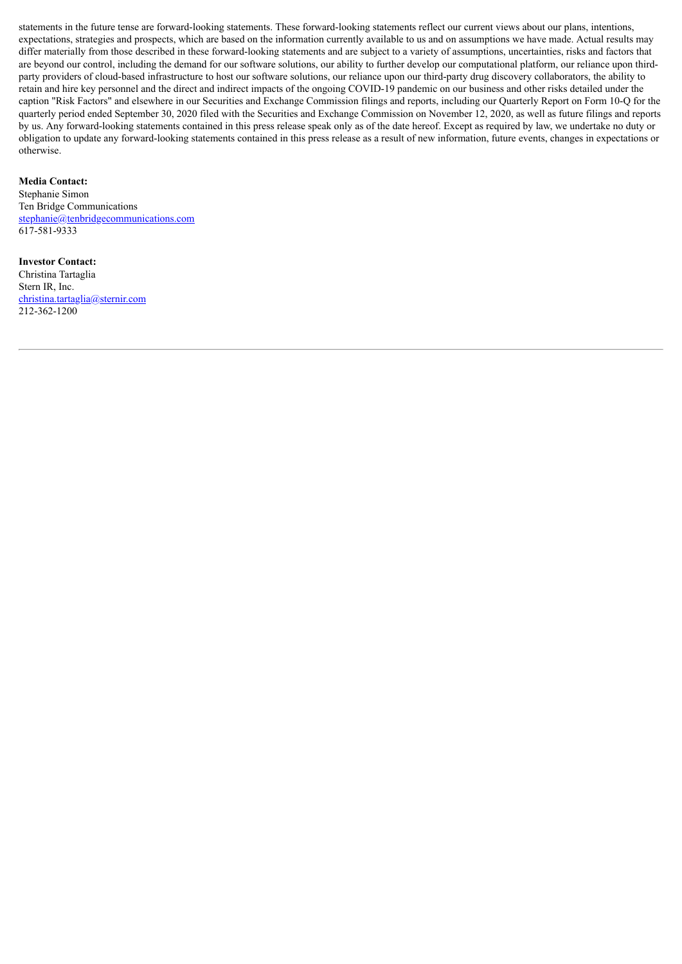statements in the future tense are forward-looking statements. These forward-looking statements reflect our current views about our plans, intentions, expectations, strategies and prospects, which are based on the information currently available to us and on assumptions we have made. Actual results may differ materially from those described in these forward-looking statements and are subject to a variety of assumptions, uncertainties, risks and factors that are beyond our control, including the demand for our software solutions, our ability to further develop our computational platform, our reliance upon thirdparty providers of cloud-based infrastructure to host our software solutions, our reliance upon our third-party drug discovery collaborators, the ability to retain and hire key personnel and the direct and indirect impacts of the ongoing COVID-19 pandemic on our business and other risks detailed under the caption "Risk Factors" and elsewhere in our Securities and Exchange Commission filings and reports, including our Quarterly Report on Form 10-Q for the quarterly period ended September 30, 2020 filed with the Securities and Exchange Commission on November 12, 2020, as well as future filings and reports by us. Any forward-looking statements contained in this press release speak only as of the date hereof. Except as required by law, we undertake no duty or obligation to update any forward-looking statements contained in this press release as a result of new information, future events, changes in expectations or otherwise.

# **Media Contact:**

Stephanie Simon Ten Bridge Communications stephanie@tenbridgecommunications.com 617-581-9333

# **Investor Contact:**

Christina Tartaglia Stern IR, Inc. christina.tartaglia@sternir.com 212-362-1200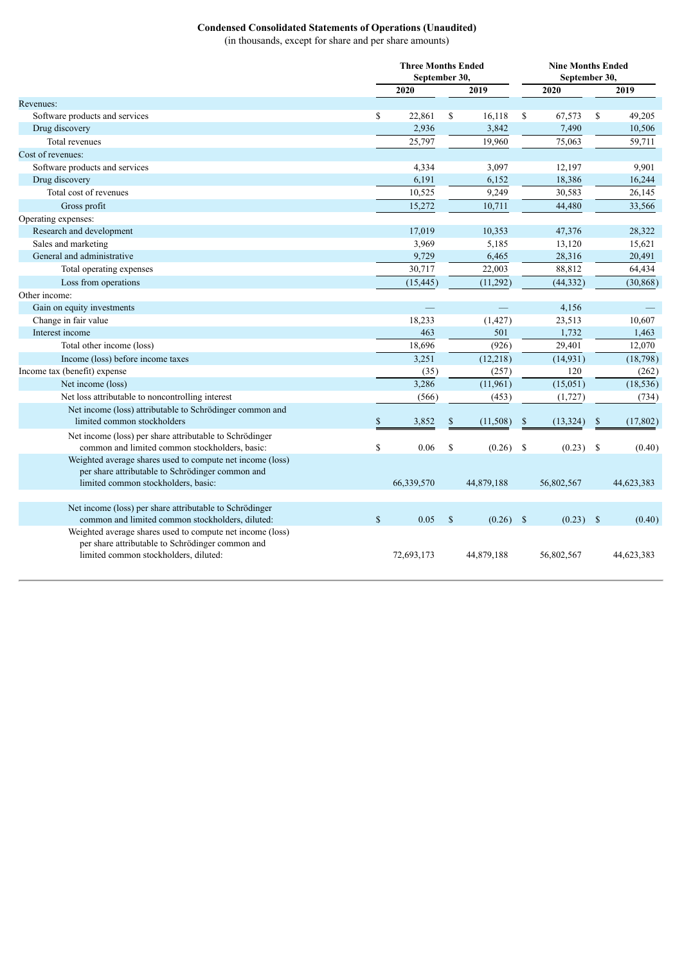# **Condensed Consolidated Statements of Operations (Unaudited)**

(in thousands, except for share and per share amounts)

|                                                                                                                                                        |              | <b>Three Months Ended</b><br>September 30, |               | <b>Nine Months Ended</b><br>September 30, |              |             |               |            |
|--------------------------------------------------------------------------------------------------------------------------------------------------------|--------------|--------------------------------------------|---------------|-------------------------------------------|--------------|-------------|---------------|------------|
|                                                                                                                                                        |              | 2020                                       |               | 2019                                      |              | 2020        |               | 2019       |
| Revenues:                                                                                                                                              |              |                                            |               |                                           |              |             |               |            |
| Software products and services                                                                                                                         | \$           | 22,861                                     | \$            | 16,118                                    | \$           | 67,573      | $\mathbb{S}$  | 49,205     |
| Drug discovery                                                                                                                                         |              | 2,936                                      |               | 3,842                                     |              | 7,490       |               | 10,506     |
| Total revenues                                                                                                                                         |              | 25,797                                     |               | 19,960                                    |              | 75,063      |               | 59,711     |
| Cost of revenues:                                                                                                                                      |              |                                            |               |                                           |              |             |               |            |
| Software products and services                                                                                                                         |              | 4,334                                      |               | 3,097                                     |              | 12,197      |               | 9,901      |
| Drug discovery                                                                                                                                         |              | 6,191                                      |               | 6,152                                     |              | 18,386      |               | 16,244     |
| Total cost of revenues                                                                                                                                 |              | 10,525                                     |               | 9,249                                     |              | 30,583      |               | 26,145     |
| Gross profit                                                                                                                                           |              | 15,272                                     |               | 10,711                                    |              | 44,480      |               | 33,566     |
| Operating expenses:                                                                                                                                    |              |                                            |               |                                           |              |             |               |            |
| Research and development                                                                                                                               |              | 17,019                                     |               | 10,353                                    |              | 47,376      |               | 28,322     |
| Sales and marketing                                                                                                                                    |              | 3,969                                      |               | 5,185                                     |              | 13,120      |               | 15,621     |
| General and administrative                                                                                                                             |              | 9,729                                      |               | 6,465                                     |              | 28,316      |               | 20,491     |
| Total operating expenses                                                                                                                               |              | 30,717                                     |               | 22,003                                    |              | 88,812      |               | 64,434     |
| Loss from operations                                                                                                                                   |              | (15, 445)                                  |               | (11, 292)                                 |              | (44, 332)   |               | (30, 868)  |
| Other income:                                                                                                                                          |              |                                            |               |                                           |              |             |               |            |
| Gain on equity investments                                                                                                                             |              |                                            |               |                                           |              | 4,156       |               |            |
| Change in fair value                                                                                                                                   |              | 18,233                                     |               | (1, 427)                                  |              | 23,513      |               | 10,607     |
| Interest income                                                                                                                                        |              | 463                                        |               | 501                                       |              | 1,732       |               | 1,463      |
| Total other income (loss)                                                                                                                              |              | 18,696                                     |               | (926)                                     |              | 29,401      |               | 12,070     |
| Income (loss) before income taxes                                                                                                                      |              | 3,251                                      |               | (12, 218)                                 |              | (14, 931)   |               | (18, 798)  |
| Income tax (benefit) expense                                                                                                                           |              | (35)                                       |               | (257)                                     |              | 120         |               | (262)      |
| Net income (loss)                                                                                                                                      |              | 3,286                                      |               | (11,961)                                  |              | (15, 051)   |               | (18, 536)  |
| Net loss attributable to noncontrolling interest                                                                                                       |              | (566)                                      |               | (453)                                     |              | (1,727)     |               | (734)      |
| Net income (loss) attributable to Schrödinger common and                                                                                               |              |                                            |               |                                           |              |             |               |            |
| limited common stockholders                                                                                                                            | $\mathbb{S}$ | 3,852                                      | $\mathbb{S}$  | (11, 508)                                 | $\mathbb{S}$ | (13, 324)   | $\mathbb{S}$  | (17, 802)  |
| Net income (loss) per share attributable to Schrödinger<br>common and limited common stockholders, basic:                                              | \$           | 0.06                                       | \$            | (0.26)                                    | $\mathbb{S}$ | (0.23)      | <sup>\$</sup> | (0.40)     |
| Weighted average shares used to compute net income (loss)                                                                                              |              |                                            |               |                                           |              |             |               |            |
| per share attributable to Schrödinger common and                                                                                                       |              |                                            |               |                                           |              |             |               |            |
| limited common stockholders, basic:                                                                                                                    |              | 66,339,570                                 |               | 44,879,188                                |              | 56,802,567  |               | 44,623,383 |
|                                                                                                                                                        |              |                                            |               |                                           |              |             |               |            |
| Net income (loss) per share attributable to Schrödinger                                                                                                |              |                                            |               |                                           |              |             |               |            |
| common and limited common stockholders, diluted:                                                                                                       | $\mathbb{S}$ | 0.05                                       | $\mathcal{S}$ | $(0.26)$ \$                               |              | $(0.23)$ \$ |               | (0.40)     |
| Weighted average shares used to compute net income (loss)<br>per share attributable to Schrödinger common and<br>limited common stockholders, diluted: |              | 72,693,173                                 |               | 44,879,188                                |              | 56,802,567  |               | 44,623,383 |
|                                                                                                                                                        |              |                                            |               |                                           |              |             |               |            |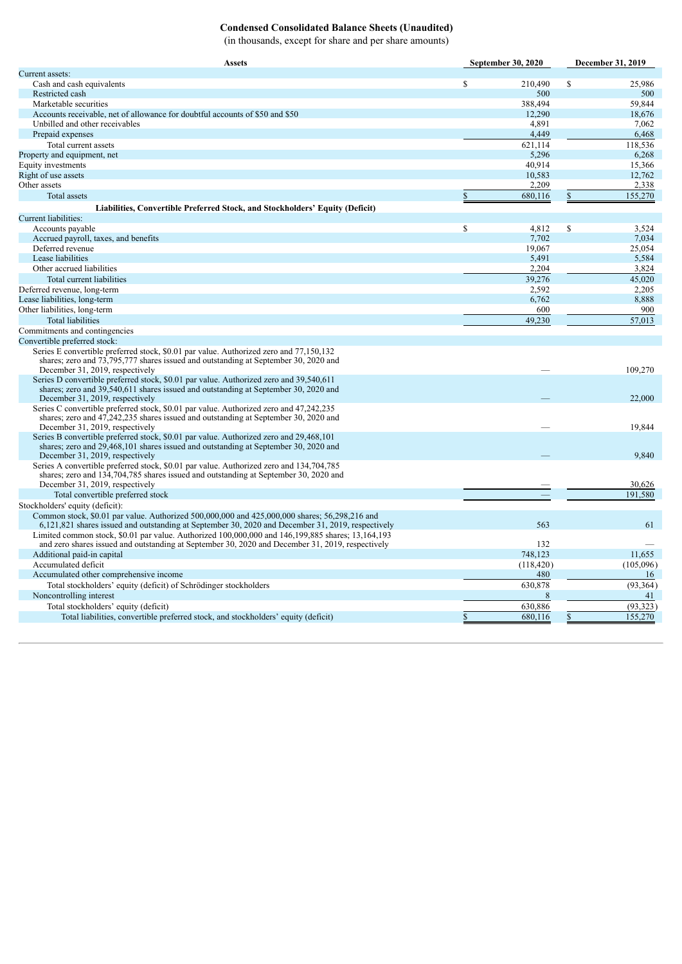# **Condensed Consolidated Balance Sheets (Unaudited)**

(in thousands, except for share and per share amounts)

| <b>Assets</b>                                                                                                                                                                                          | <b>September 30, 2020</b> | December 31, 2019 |  |
|--------------------------------------------------------------------------------------------------------------------------------------------------------------------------------------------------------|---------------------------|-------------------|--|
| Current assets:                                                                                                                                                                                        |                           |                   |  |
| Cash and cash equivalents                                                                                                                                                                              | \$<br>210,490             | \$<br>25,986      |  |
| Restricted cash                                                                                                                                                                                        | 500                       | 500               |  |
| Marketable securities                                                                                                                                                                                  | 388,494                   | 59,844            |  |
| Accounts receivable, net of allowance for doubtful accounts of \$50 and \$50                                                                                                                           | 12,290                    | 18.676            |  |
| Unbilled and other receivables                                                                                                                                                                         | 4,891                     | 7,062             |  |
| Prepaid expenses                                                                                                                                                                                       | 4,449                     | 6,468             |  |
| Total current assets                                                                                                                                                                                   | 621,114                   | 118.536           |  |
| Property and equipment, net                                                                                                                                                                            | 5,296                     | 6,268             |  |
| Equity investments                                                                                                                                                                                     | 40,914                    | 15,366            |  |
| Right of use assets                                                                                                                                                                                    | 10,583                    | 12,762            |  |
| Other assets                                                                                                                                                                                           | 2,209                     | 2,338             |  |
| <b>Total assets</b>                                                                                                                                                                                    | \$<br>680,116             | 155,270<br>\$     |  |
| Liabilities, Convertible Preferred Stock, and Stockholders' Equity (Deficit)                                                                                                                           |                           |                   |  |
| Current liabilities:                                                                                                                                                                                   |                           |                   |  |
| Accounts payable                                                                                                                                                                                       | \$<br>4,812               | \$<br>3,524       |  |
| Accrued payroll, taxes, and benefits                                                                                                                                                                   | 7,702                     | 7,034             |  |
| Deferred revenue                                                                                                                                                                                       | 19,067                    | 25,054            |  |
| Lease liabilities                                                                                                                                                                                      | 5,491                     | 5,584             |  |
| Other accrued liabilities                                                                                                                                                                              | 2,204                     | 3,824             |  |
| Total current liabilities                                                                                                                                                                              | 39,276                    | 45.020            |  |
| Deferred revenue, long-term                                                                                                                                                                            | 2,592                     | 2,205             |  |
| Lease liabilities, long-term                                                                                                                                                                           | 6,762                     | 8,888             |  |
| Other liabilities, long-term                                                                                                                                                                           | 600                       | 900               |  |
| <b>Total liabilities</b>                                                                                                                                                                               | 49,230                    | 57,013            |  |
| Commitments and contingencies                                                                                                                                                                          |                           |                   |  |
| Convertible preferred stock:                                                                                                                                                                           |                           |                   |  |
| Series E convertible preferred stock, \$0.01 par value. Authorized zero and 77,150,132                                                                                                                 |                           |                   |  |
| shares; zero and 73,795,777 shares issued and outstanding at September 30, 2020 and                                                                                                                    |                           |                   |  |
| December 31, 2019, respectively                                                                                                                                                                        |                           | 109,270           |  |
| Series D convertible preferred stock, \$0.01 par value. Authorized zero and 39,540,611                                                                                                                 |                           |                   |  |
| shares; zero and 39,540,611 shares issued and outstanding at September 30, 2020 and                                                                                                                    |                           |                   |  |
| December 31, 2019, respectively                                                                                                                                                                        |                           | 22,000            |  |
| Series C convertible preferred stock, \$0.01 par value. Authorized zero and 47,242,235                                                                                                                 |                           |                   |  |
| shares; zero and $47,242,235$ shares issued and outstanding at September 30, 2020 and                                                                                                                  |                           |                   |  |
| December 31, 2019, respectively                                                                                                                                                                        |                           | 19,844            |  |
| Series B convertible preferred stock, \$0.01 par value. Authorized zero and 29,468,101                                                                                                                 |                           |                   |  |
| shares; zero and 29,468,101 shares issued and outstanding at September 30, 2020 and                                                                                                                    |                           |                   |  |
| December 31, 2019, respectively                                                                                                                                                                        |                           | 9,840             |  |
| Series A convertible preferred stock, \$0.01 par value. Authorized zero and 134,704,785                                                                                                                |                           |                   |  |
| shares; zero and 134,704,785 shares issued and outstanding at September 30, 2020 and<br>December 31, 2019, respectively                                                                                |                           | 30,626            |  |
|                                                                                                                                                                                                        |                           |                   |  |
| Total convertible preferred stock                                                                                                                                                                      |                           | 191,580           |  |
| Stockholders' equity (deficit):                                                                                                                                                                        |                           |                   |  |
| Common stock, \$0.01 par value. Authorized 500,000,000 and 425,000,000 shares; 56,298,216 and                                                                                                          |                           | 61                |  |
| 6,121,821 shares issued and outstanding at September 30, 2020 and December 31, 2019, respectively<br>Limited common stock, \$0.01 par value. Authorized 100,000,000 and 146,199,885 shares; 13,164,193 | 563                       |                   |  |
| and zero shares issued and outstanding at September 30, 2020 and December 31, 2019, respectively                                                                                                       | 132                       |                   |  |
| Additional paid-in capital                                                                                                                                                                             | 748,123                   | 11,655            |  |
| Accumulated deficit                                                                                                                                                                                    | (118, 420)                | (105,096)         |  |
| Accumulated other comprehensive income                                                                                                                                                                 | 480                       | 16                |  |
| Total stockholders' equity (deficit) of Schrödinger stockholders                                                                                                                                       | 630,878                   | (93, 364)         |  |
| Noncontrolling interest                                                                                                                                                                                | 8                         | 41                |  |
|                                                                                                                                                                                                        |                           |                   |  |
| Total stockholders' equity (deficit)                                                                                                                                                                   | 630,886                   | (93, 323)         |  |
| Total liabilities, convertible preferred stock, and stockholders' equity (deficit)                                                                                                                     | 680,116                   | 155,270           |  |